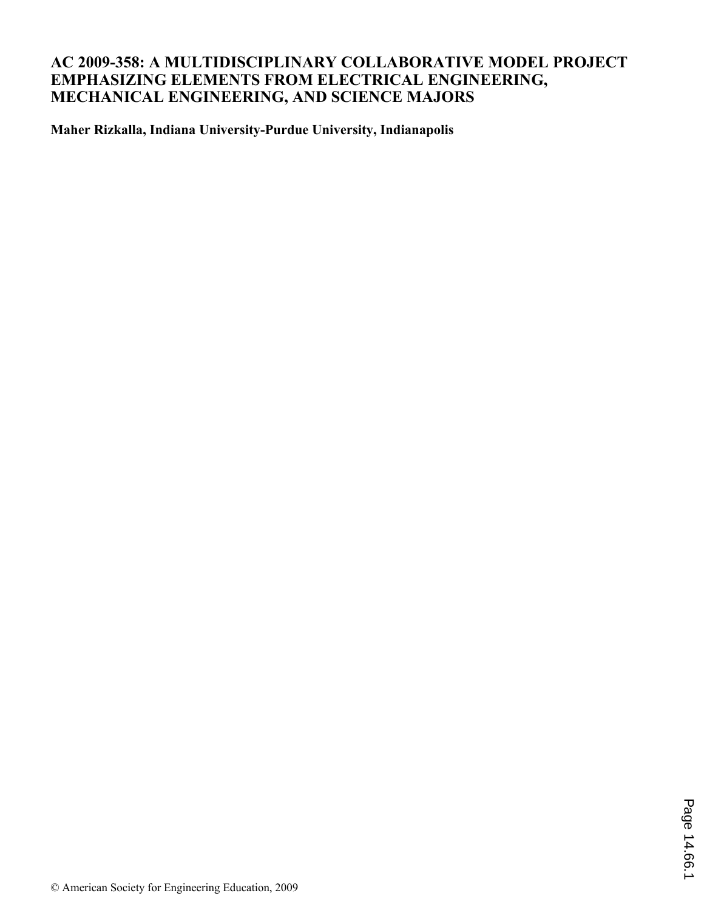# **AC 2009-358: A MULTIDISCIPLINARY COLLABORATIVE MODEL PROJECT EMPHASIZING ELEMENTS FROM ELECTRICAL ENGINEERING, MECHANICAL ENGINEERING, AND SCIENCE MAJORS**

**Maher Rizkalla, Indiana University-Purdue University, Indianapolis**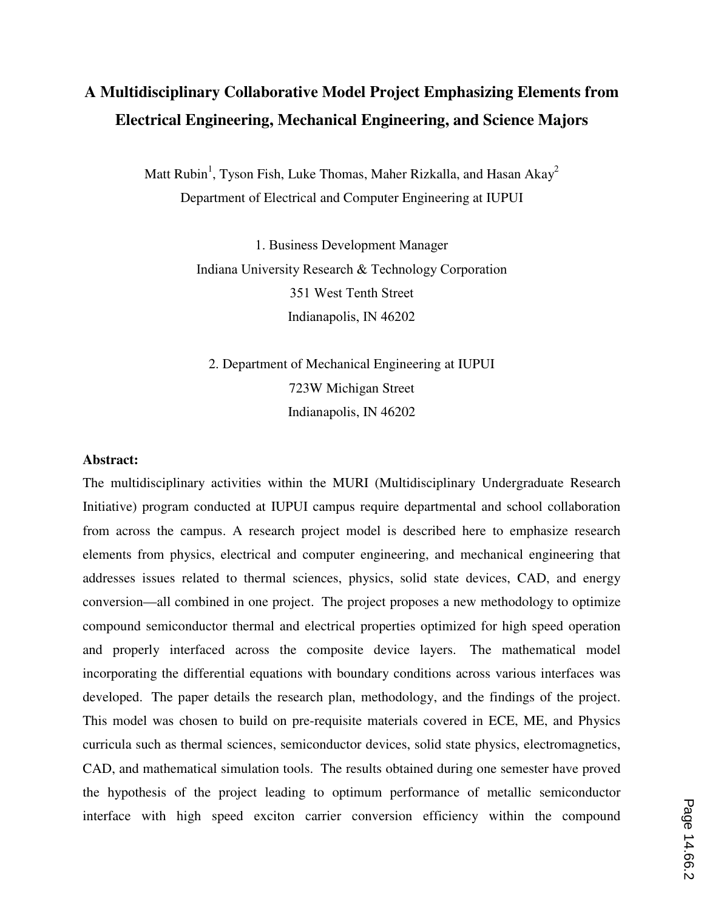# **A Multidisciplinary Collaborative Model Project Emphasizing Elements from Electrical Engineering, Mechanical Engineering, and Science Majors**

Matt Rubin<sup>1</sup>, Tyson Fish, Luke Thomas, Maher Rizkalla, and Hasan Akay<sup>2</sup> Department of Electrical and Computer Engineering at IUPUI

> 1. Business Development Manager Indiana University Research & Technology Corporation 351 West Tenth Street Indianapolis, IN 46202

2. Department of Mechanical Engineering at IUPUI 723W Michigan Street Indianapolis, IN 46202

#### **Abstract:**

The multidisciplinary activities within the MURI (Multidisciplinary Undergraduate Research Initiative) program conducted at IUPUI campus require departmental and school collaboration from across the campus. A research project model is described here to emphasize research elements from physics, electrical and computer engineering, and mechanical engineering that addresses issues related to thermal sciences, physics, solid state devices, CAD, and energy conversion—all combined in one project. The project proposes a new methodology to optimize compound semiconductor thermal and electrical properties optimized for high speed operation and properly interfaced across the composite device layers. The mathematical model incorporating the differential equations with boundary conditions across various interfaces was developed. The paper details the research plan, methodology, and the findings of the project. This model was chosen to build on pre-requisite materials covered in ECE, ME, and Physics curricula such as thermal sciences, semiconductor devices, solid state physics, electromagnetics, CAD, and mathematical simulation tools. The results obtained during one semester have proved the hypothesis of the project leading to optimum performance of metallic semiconductor interface with high speed exciton carrier conversion efficiency within the compound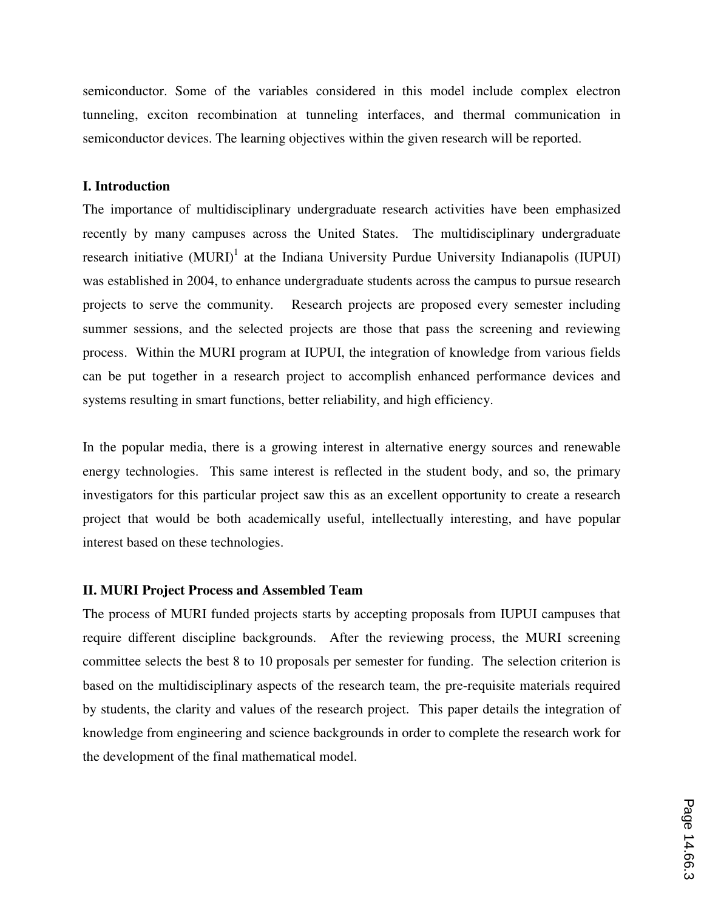semiconductor. Some of the variables considered in this model include complex electron tunneling, exciton recombination at tunneling interfaces, and thermal communication in semiconductor devices. The learning objectives within the given research will be reported.

#### **I. Introduction**

The importance of multidisciplinary undergraduate research activities have been emphasized recently by many campuses across the United States. The multidisciplinary undergraduate research initiative  $(MURI)^{1}$  at the Indiana University Purdue University Indianapolis (IUPUI) was established in 2004, to enhance undergraduate students across the campus to pursue research projects to serve the community. Research projects are proposed every semester including summer sessions, and the selected projects are those that pass the screening and reviewing process. Within the MURI program at IUPUI, the integration of knowledge from various fields can be put together in a research project to accomplish enhanced performance devices and systems resulting in smart functions, better reliability, and high efficiency.

In the popular media, there is a growing interest in alternative energy sources and renewable energy technologies. This same interest is reflected in the student body, and so, the primary investigators for this particular project saw this as an excellent opportunity to create a research project that would be both academically useful, intellectually interesting, and have popular interest based on these technologies.

### **II. MURI Project Process and Assembled Team**

The process of MURI funded projects starts by accepting proposals from IUPUI campuses that require different discipline backgrounds. After the reviewing process, the MURI screening committee selects the best 8 to 10 proposals per semester for funding. The selection criterion is based on the multidisciplinary aspects of the research team, the pre-requisite materials required by students, the clarity and values of the research project. This paper details the integration of knowledge from engineering and science backgrounds in order to complete the research work for the development of the final mathematical model.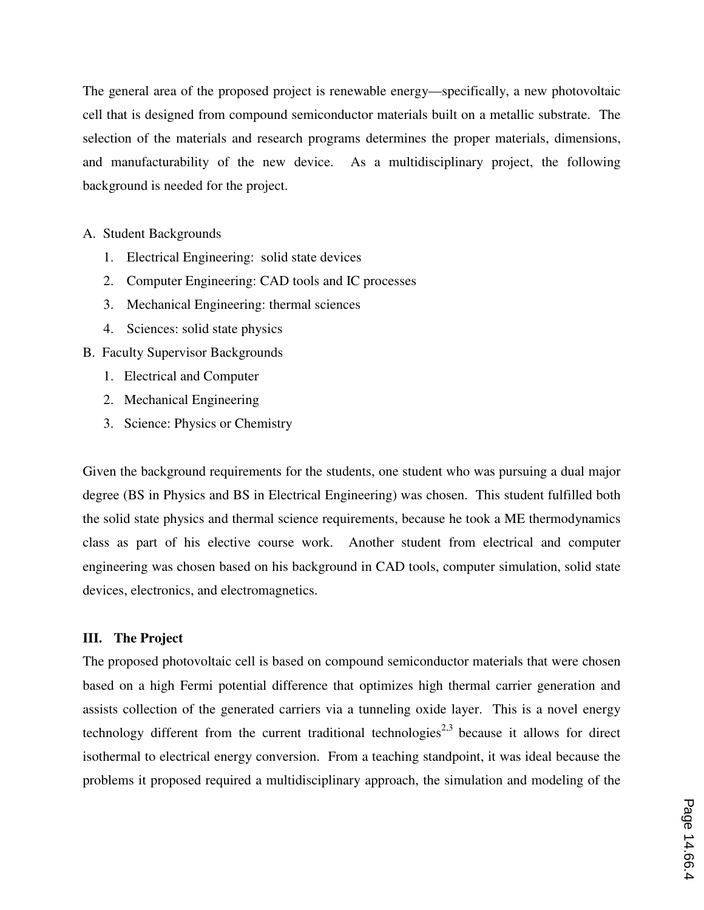The general area of the proposed project is renewable energy—specifically, a new photovoltaic cell that is designed from compound semiconductor materials built on a metallic substrate. The selection of the materials and research programs determines the proper materials, dimensions, and manufacturability of the new device. As a multidisciplinary project, the following background is needed for the project.

### A. Student Backgrounds

- 1. Electrical Engineering: solid state devices
- 2. Computer Engineering: CAD tools and IC processes
- 3. Mechanical Engineering: thermal sciences
- 4. Sciences: solid state physics
- B. Faculty Supervisor Backgrounds
	- 1. Electrical and Computer
	- 2. Mechanical Engineering
	- 3. Science: Physics or Chemistry

Given the background requirements for the students, one student who was pursuing a dual major degree (BS in Physics and BS in Electrical Engineering) was chosen. This student fulfilled both the solid state physics and thermal science requirements, because he took a ME thermodynamics class as part of his elective course work. Another student from electrical and computer engineering was chosen based on his background in CAD tools, computer simulation, solid state devices, electronics, and electromagnetics.

#### **III. The Project**

The proposed photovoltaic cell is based on compound semiconductor materials that were chosen based on a high Fermi potential difference that optimizes high thermal carrier generation and assists collection of the generated carriers via a tunneling oxide layer. This is a novel energy technology different from the current traditional technologies<sup>2,3</sup> because it allows for direct isothermal to electrical energy conversion. From a teaching standpoint, it was ideal because the problems it proposed required a multidisciplinary approach, the simulation and modeling of the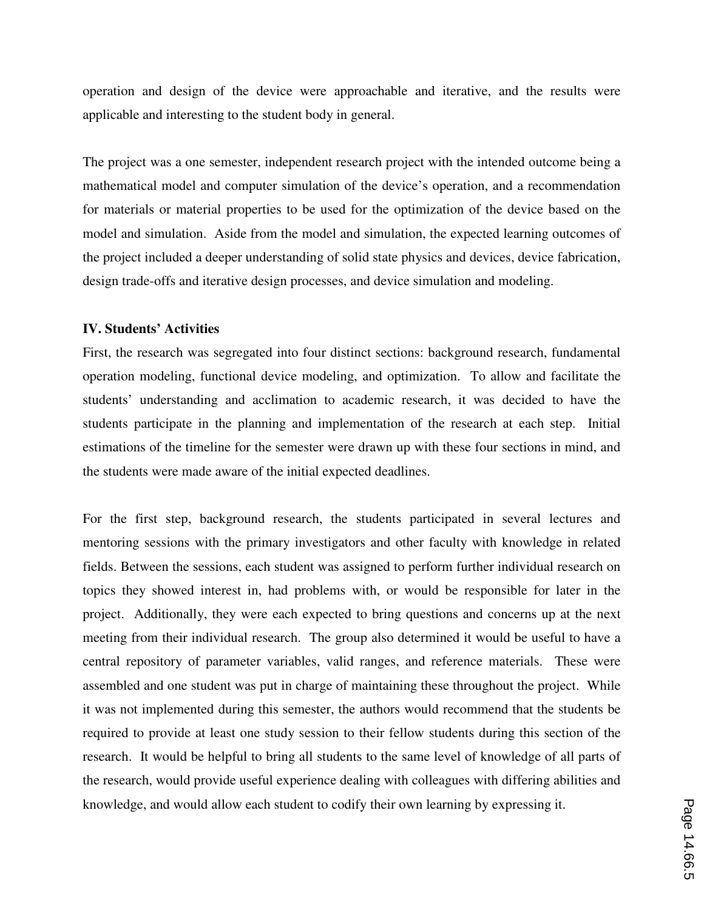operation and design of the device were approachable and iterative, and the results were applicable and interesting to the student body in general.

The project was a one semester, independent research project with the intended outcome being a mathematical model and computer simulation of the device's operation, and a recommendation for materials or material properties to be used for the optimization of the device based on the model and simulation. Aside from the model and simulation, the expected learning outcomes of the project included a deeper understanding of solid state physics and devices, device fabrication, design trade-offs and iterative design processes, and device simulation and modeling.

### **IV. Students' Activities**

First, the research was segregated into four distinct sections: background research, fundamental operation modeling, functional device modeling, and optimization. To allow and facilitate the students' understanding and acclimation to academic research, it was decided to have the students participate in the planning and implementation of the research at each step. Initial estimations of the timeline for the semester were drawn up with these four sections in mind, and the students were made aware of the initial expected deadlines.

For the first step, background research, the students participated in several lectures and mentoring sessions with the primary investigators and other faculty with knowledge in related fields. Between the sessions, each student was assigned to perform further individual research on topics they showed interest in, had problems with, or would be responsible for later in the project. Additionally, they were each expected to bring questions and concerns up at the next meeting from their individual research. The group also determined it would be useful to have a central repository of parameter variables, valid ranges, and reference materials. These were assembled and one student was put in charge of maintaining these throughout the project. While it was not implemented during this semester, the authors would recommend that the students be required to provide at least one study session to their fellow students during this section of the research. It would be helpful to bring all students to the same level of knowledge of all parts of the research, would provide useful experience dealing with colleagues with differing abilities and knowledge, and would allow each student to codify their own learning by expressing it.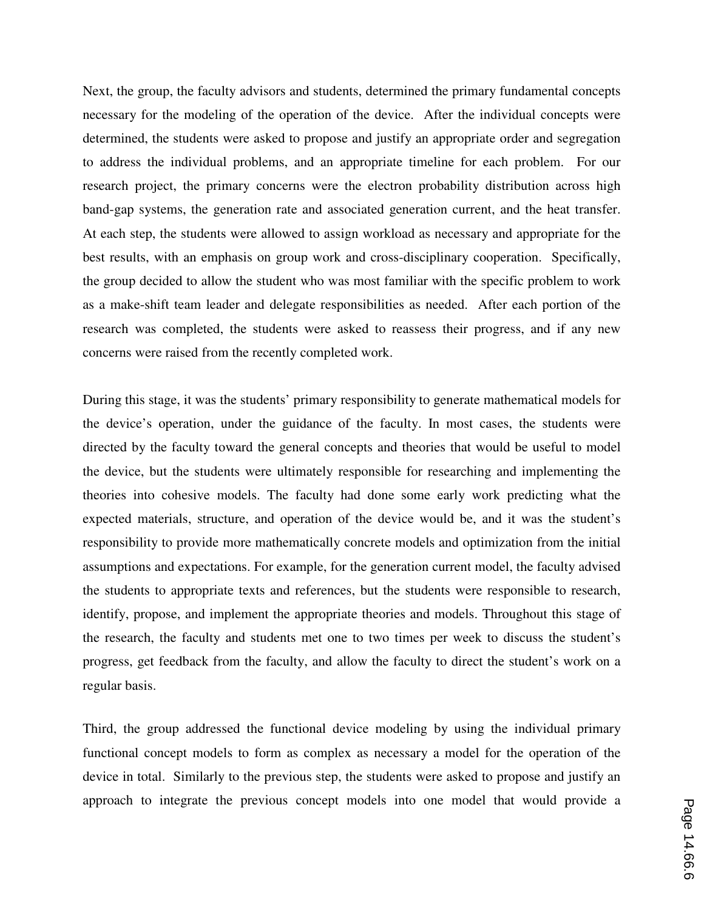Next, the group, the faculty advisors and students, determined the primary fundamental concepts necessary for the modeling of the operation of the device. After the individual concepts were determined, the students were asked to propose and justify an appropriate order and segregation to address the individual problems, and an appropriate timeline for each problem. For our research project, the primary concerns were the electron probability distribution across high band-gap systems, the generation rate and associated generation current, and the heat transfer. At each step, the students were allowed to assign workload as necessary and appropriate for the best results, with an emphasis on group work and cross-disciplinary cooperation. Specifically, the group decided to allow the student who was most familiar with the specific problem to work as a make-shift team leader and delegate responsibilities as needed. After each portion of the research was completed, the students were asked to reassess their progress, and if any new concerns were raised from the recently completed work.

During this stage, it was the students' primary responsibility to generate mathematical models for the device's operation, under the guidance of the faculty. In most cases, the students were directed by the faculty toward the general concepts and theories that would be useful to model the device, but the students were ultimately responsible for researching and implementing the theories into cohesive models. The faculty had done some early work predicting what the expected materials, structure, and operation of the device would be, and it was the student's responsibility to provide more mathematically concrete models and optimization from the initial assumptions and expectations. For example, for the generation current model, the faculty advised the students to appropriate texts and references, but the students were responsible to research, identify, propose, and implement the appropriate theories and models. Throughout this stage of the research, the faculty and students met one to two times per week to discuss the student's progress, get feedback from the faculty, and allow the faculty to direct the student's work on a regular basis.

Third, the group addressed the functional device modeling by using the individual primary functional concept models to form as complex as necessary a model for the operation of the device in total. Similarly to the previous step, the students were asked to propose and justify an approach to integrate the previous concept models into one model that would provide a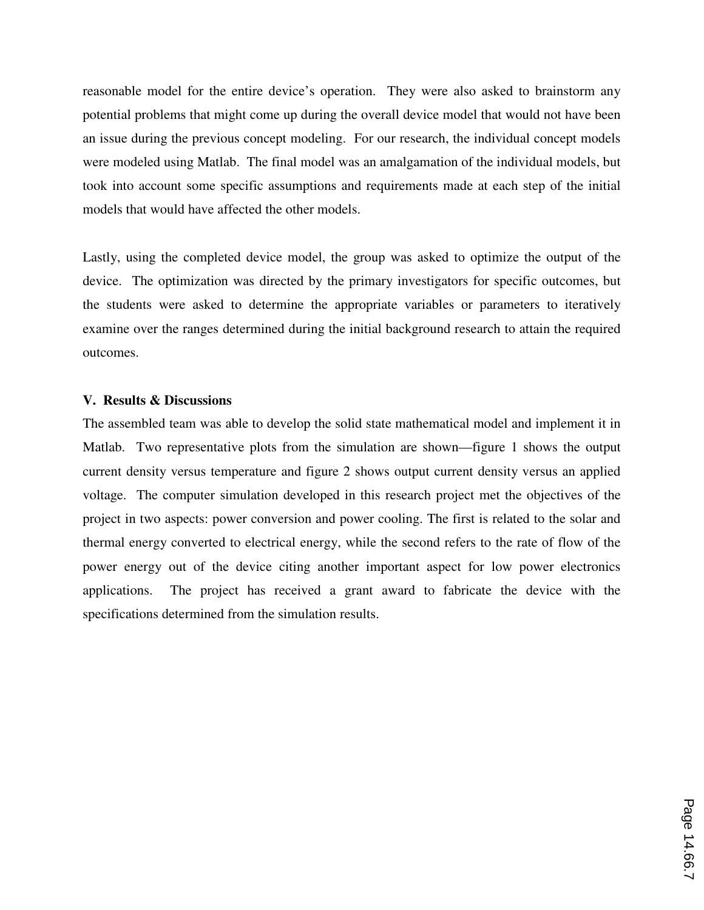reasonable model for the entire device's operation. They were also asked to brainstorm any potential problems that might come up during the overall device model that would not have been an issue during the previous concept modeling. For our research, the individual concept models were modeled using Matlab. The final model was an amalgamation of the individual models, but took into account some specific assumptions and requirements made at each step of the initial models that would have affected the other models.

Lastly, using the completed device model, the group was asked to optimize the output of the device. The optimization was directed by the primary investigators for specific outcomes, but the students were asked to determine the appropriate variables or parameters to iteratively examine over the ranges determined during the initial background research to attain the required outcomes.

#### **V. Results & Discussions**

The assembled team was able to develop the solid state mathematical model and implement it in Matlab. Two representative plots from the simulation are shown—figure 1 shows the output current density versus temperature and figure 2 shows output current density versus an applied voltage. The computer simulation developed in this research project met the objectives of the project in two aspects: power conversion and power cooling. The first is related to the solar and thermal energy converted to electrical energy, while the second refers to the rate of flow of the power energy out of the device citing another important aspect for low power electronics applications. The project has received a grant award to fabricate the device with the specifications determined from the simulation results.